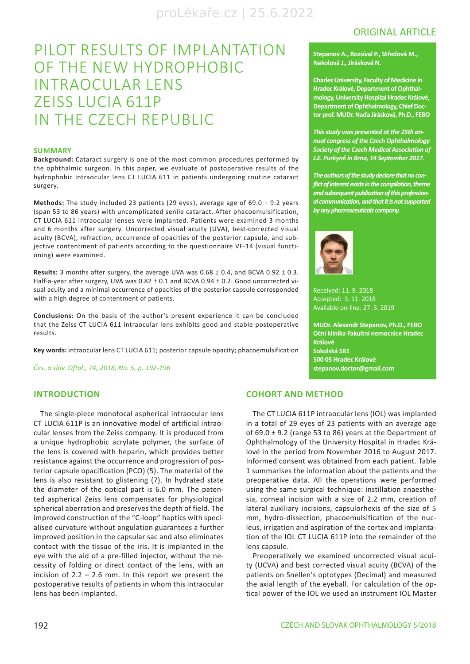# ORIGINAL ARTICLE

# PILOT RESULTS OF IMPLANTATION OF THE NEW HYDROPHOBIC INTRAOCULAR LENS ZEISS LUCIA 611P IN THE CZECH REPUBLIC

#### **SUMMARY**

**Background:** Cataract surgery is one of the most common procedures performed by the ophthalmic surgeon. In this paper, we evaluate of postoperative results of the hydrophobic intraocular lens CT LUCIA 611 in patients undergoing routine cataract surgery.

**Methods:** The study included 23 patients (29 eyes), average age of 69.0 + 9.2 years (span 53 to 86 years) with uncomplicated senile cataract. After phacoemulsification, CT LUCIA 611 intraocular lenses were implanted. Patients were examined 3 months and 6 months after surgery. Uncorrected visual acuity (UVA), best-corrected visual acuity (BCVA), refraction, occurrence of opacities of the posterior capsule, and subjective contentment of patients according to the questionnaire VF-14 (visual functioning) were examined.

**Results:** 3 months after surgery, the average UVA was  $0.68 \pm 0.4$ , and BCVA  $0.92 \pm 0.3$ . Half-a-year after surgery, UVA was 0.82 ± 0.1 and BCVA 0.94 ± 0.2. Good uncorrected visual acuity and a minimal occurrence of opacities of the posterior capsule corresponded with a high degree of contentment of patients.

**Conclusions:** On the basis of the author's present experience it can be concluded that the Zeiss CT LUCIA 611 intraocular lens exhibits good and stable postoperative results.

**Key words:** intraocular lens CT LUCIA 611; posterior capsule opacity; phacoemulsification

*Čes. a slov. Oftal., 74, 2018, No. 5, p. 192-196*

# **INTRODUCTION**

The single-piece monofocal aspherical intraocular lens CT LUCIA 611P is an innovative model of artificial intraocular lenses from the Zeiss company. It is produced from a unique hydrophobic acrylate polymer, the surface of the lens is covered with heparin, which provides better resistance against the occurrence and progression of posterior capsule opacification (PCO) (5). The material of the lens is also resistant to glistening (7). In hydrated state the diameter of the optical part is 6.0 mm. The patented aspherical Zeiss lens compensates for physiological spherical aberration and preserves the depth of field. The improved construction of the "C-loop" haptics with specialised curvature without angulation guarantees a further improved position in the capsular sac and also eliminates contact with the tissue of the iris. It is implanted in the eye with the aid of a pre-filled injector, without the necessity of folding or direct contact of the lens, with an incision of  $2.2 - 2.6$  mm. In this report we present the postoperative results of patients in whom this intraocular lens has been implanted.

### **COHORT AND METHOD**

The CT LUCIA 611P intraocular lens (IOL) was implanted in a total of 29 eyes of 23 patients with an average age of  $69.0 \pm 9.2$  (range 53 to 86) years at the Department of Ophthalmology of the University Hospital in Hradec Králové in the period from November 2016 to August 2017. Informed consent was obtained from each patient. Table 1 summarises the information about the patients and the preoperative data. All the operations were performed using the same surgical technique: instillation anaesthesia, corneal incision with a size of 2.2 mm, creation of lateral auxiliary incisions, capsulorhexis of the size of 5 mm, hydro-dissection, phacoemulsification of the nucleus, irrigation and aspiration of the cortex and implantation of the IOL CT LUCIA 611P into the remainder of the lens capsule.

Preoperatively we examined uncorrected visual acuity (UCVA) and best corrected visual acuity (BCVA) of the patients on Snellen's optotypes (Decimal) and measured the axial length of the eyeball. For calculation of the optical power of the IOL we used an instrument IOL Master

### **Stepanov A., Rozsíval P., Středová M., Nekolová J., Jirásková N.**

**Charles University, Faculty of Medicine in Hradec Králové, Department of Ophthalmology, University Hospital Hradec Králové, Department of Ophthalmology, Chief Doctor prof. MUDr. Naďa Jirásková, Ph.D., FEBO**

*This study was presented at the 25th annual congress of the Czech Ophthalmology Society of the Czech Medical Association of J.E. Purkyně in Brno, 14 September 2017.*

*The authors of the study declare that no conflict of interest exists in the compilation, theme and subsequent publication of this professional communication, and that it is not supported by any pharmaceuticals company.*



Received: 11. 9. 2018 Accepted: 3. 11. 2018 Available on-line: 27. 3. 2019

**MUDr. Alexandr Stepanov, Ph.D., FEBO Oční klinika Fakultní nemocnice Hradec Králové Sokolská 581 500 05 Hradec Králové stepanov.doctor@gmail.com**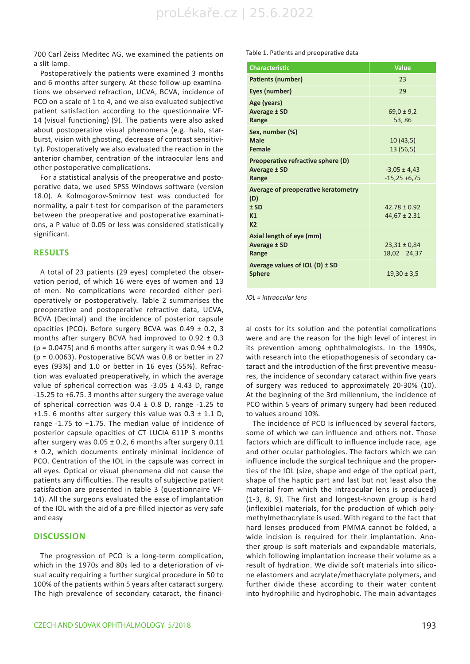700 Carl Zeiss Meditec AG, we examined the patients on a slit lamp.

Postoperatively the patients were examined 3 months and 6 months after surgery. At these follow-up examinations we observed refraction, UCVA, BCVA, incidence of PCO on a scale of 1 to 4, and we also evaluated subjective patient satisfaction according to the questionnaire VF-14 (visual functioning) (9). The patients were also asked about postoperative visual phenomena (e.g. halo, starburst, vision with ghosting, decrease of contrast sensitivity). Postoperatively we also evaluated the reaction in the anterior chamber, centration of the intraocular lens and other postoperative complications.

For a statistical analysis of the preoperative and postoperative data, we used SPSS Windows software (version 18.0). A Kolmogorov-Smirnov test was conducted for normality, a pair t-test for comparison of the parameters between the preoperative and postoperative examinations, a P value of 0.05 or less was considered statistically significant.

### **RESULTS**

A total of 23 patients (29 eyes) completed the observation period, of which 16 were eyes of women and 13 of men. No complications were recorded either perioperatively or postoperatively. Table 2 summarises the preoperative and postoperative refractive data, UCVA, BCVA (Decimal) and the incidence of posterior capsule opacities (PCO). Before surgery BCVA was 0.49 ± 0.2, 3 months after surgery BCVA had improved to 0.92 ± 0.3 ( $p = 0.0475$ ) and 6 months after surgery it was  $0.94 \pm 0.2$ (p = 0.0063). Postoperative BCVA was 0.8 or better in 27 eyes (93%) and 1.0 or better in 16 eyes (55%). Refraction was evaluated preoperatively, in which the average value of spherical correction was -3.05 ± 4.43 D, range -15.25 to +6.75. 3 months after surgery the average value of spherical correction was  $0.4 \pm 0.8$  D, range -1.25 to +1.5. 6 months after surgery this value was  $0.3 \pm 1.1$  D, range -1.75 to +1.75. The median value of incidence of posterior capsule opacities of CT LUCIA 611P 3 months after surgery was  $0.05 \pm 0.2$ , 6 months after surgery 0.11 ± 0.2, which documents entirely minimal incidence of PCO. Centration of the IOL in the capsule was correct in all eyes. Optical or visual phenomena did not cause the patients any difficulties. The results of subjective patient satisfaction are presented in table 3 (questionnaire VF-14). All the surgeons evaluated the ease of implantation of the IOL with the aid of a pre-filled injector as very safe and easy

# **DISCUSSION**

The progression of PCO is a long-term complication, which in the 1970s and 80s led to a deterioration of visual acuity requiring a further surgical procedure in 50 to 100% of the patients within 5 years after cataract surgery. The high prevalence of secondary cataract, the financiTable 1. Patients and preoperative data

| <b>Characteristic</b>                                                        | <b>Value</b>                         |
|------------------------------------------------------------------------------|--------------------------------------|
| Patients (number)                                                            | 23                                   |
| Eyes (number)                                                                | 29                                   |
| Age (years)<br>Average ± SD<br>Range                                         | $69.0 \pm 9.2$<br>53,86              |
| Sex, number (%)<br>Male<br><b>Female</b>                                     | 10(43,5)<br>13(56,5)                 |
| Preoperative refractive sphere (D)<br>Average ± SD<br>Range                  | $-3,05 \pm 4,43$<br>$-15,25 + 6,75$  |
| Average of preoperative keratometry<br>(D)<br>$±$ SD<br>K1<br>K <sub>2</sub> | $42.78 \pm 0.92$<br>$44,67 \pm 2.31$ |
| Axial length of eye (mm)<br>Average ± SD<br>Range                            | $23,31 \pm 0,84$<br>18,02 24,37      |
| Average values of IOL (D) $\pm$ SD<br><b>Sphere</b>                          | $19,30 \pm 3,5$                      |

*IOL = intraocular lens*

al costs for its solution and the potential complications were and are the reason for the high level of interest in its prevention among ophthalmologists. In the 1990s, with research into the etiopathogenesis of secondary cataract and the introduction of the first preventive measures, the incidence of secondary cataract within five years of surgery was reduced to approximately 20-30% (10). At the beginning of the 3rd millennium, the incidence of PCO within 5 years of primary surgery had been reduced to values around 10%.

The incidence of PCO is influenced by several factors, some of which we can influence and others not. Those factors which are difficult to influence include race, age and other ocular pathologies. The factors which we can influence include the surgical technique and the properties of the IOL (size, shape and edge of the optical part, shape of the haptic part and last but not least also the material from which the intraocular lens is produced) (1-3, 8, 9). The first and longest-known group is hard (inflexible) materials, for the production of which polymethylmethacrylate is used. With regard to the fact that hard lenses produced from PMMA cannot be folded, a wide incision is required for their implantation. Another group is soft materials and expandable materials, which following implantation increase their volume as a result of hydration. We divide soft materials into silicone elastomers and acrylate/methacrylate polymers, and further divide these according to their water content into hydrophilic and hydrophobic. The main advantages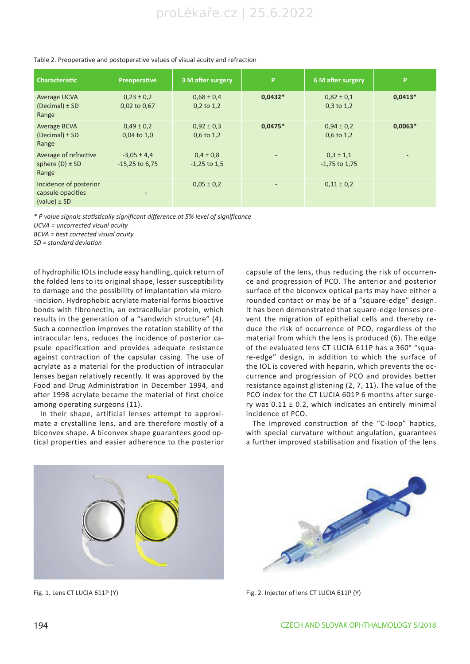| <b>Characteristic</b>                                           | Preoperative                        | 3 M after surgery               | P                        | 6 M after surgery                | P                        |
|-----------------------------------------------------------------|-------------------------------------|---------------------------------|--------------------------|----------------------------------|--------------------------|
| Average UCVA<br>$(Decimal) \pm SD$<br>Range                     | $0,23 \pm 0,2$<br>0,02 to 0,67      | $0.68 \pm 0.4$<br>$0,2$ to 1,2  | $0,0432*$                | $0.82 \pm 0.1$<br>$0.3$ to $1.2$ | $0,0413*$                |
| <b>Average BCVA</b><br>$(Decimal) \pm SD$<br>Range              | $0,49 \pm 0,2$<br>$0.04$ to $1.0$   | $0.92 \pm 0.3$<br>$0,6$ to 1,2  | $0,0475*$                | $0.94 \pm 0.2$<br>$0,6$ to 1,2   | $0,0063*$                |
| Average of refractive<br>sphere $(D) \pm SD$<br>Range           | $-3,05 \pm 4,4$<br>$-15,25$ to 6,75 | $0,4 \pm 0,8$<br>$-1,25$ to 1,5 | $\overline{\phantom{0}}$ | $0,3 \pm 1,1$<br>$-1,75$ to 1,75 | $\overline{\phantom{0}}$ |
| Incidence of posterior<br>capsule opacities<br>$(value) \pm SD$ | $\overline{\phantom{a}}$            | $0.05 \pm 0.2$                  |                          | $0,11 \pm 0.2$                   |                          |

#### Table 2. Preoperative and postoperative values of visual acuity and refraction

*\* P value signals statistically significant difference at 5% level of significance*

*UCVA = uncorrected visual acuity*

*BCVA = best corrected visual acuity*

*SD = standard deviation*

of hydrophilic IOLs include easy handling, quick return of the folded lens to its original shape, lesser susceptibility to damage and the possibility of implantation via micro- -incision. Hydrophobic acrylate material forms bioactive bonds with fibronectin, an extracellular protein, which results in the generation of a "sandwich structure" (4). Such a connection improves the rotation stability of the intraocular lens, reduces the incidence of posterior capsule opacification and provides adequate resistance against contraction of the capsular casing. The use of acrylate as a material for the production of intraocular lenses began relatively recently. It was approved by the Food and Drug Administration in December 1994, and after 1998 acrylate became the material of first choice among operating surgeons (11).

In their shape, artificial lenses attempt to approximate a crystalline lens, and are therefore mostly of a biconvex shape. A biconvex shape guarantees good optical properties and easier adherence to the posterior capsule of the lens, thus reducing the risk of occurrence and progression of PCO. The anterior and posterior surface of the biconvex optical parts may have either a rounded contact or may be of a "square-edge" design. It has been demonstrated that square-edge lenses prevent the migration of epithelial cells and thereby reduce the risk of occurrence of PCO, regardless of the material from which the lens is produced (6). The edge of the evaluated lens CT LUCIA 611P has a 360° "square-edge" design, in addition to which the surface of the IOL is covered with heparin, which prevents the occurrence and progression of PCO and provides better resistance against glistening (2, 7, 11). The value of the PCO index for the CT LUCIA 601P 6 months after surgery was  $0.11 \pm 0.2$ , which indicates an entirely minimal incidence of PCO.

The improved construction of the "C-loop" haptics, with special curvature without angulation, guarantees a further improved stabilisation and fixation of the lens





Fig. 1. Lens CT LUCIA 611P (Y) Fig. 2. Injector of lens CT LUCIA 611P (Y)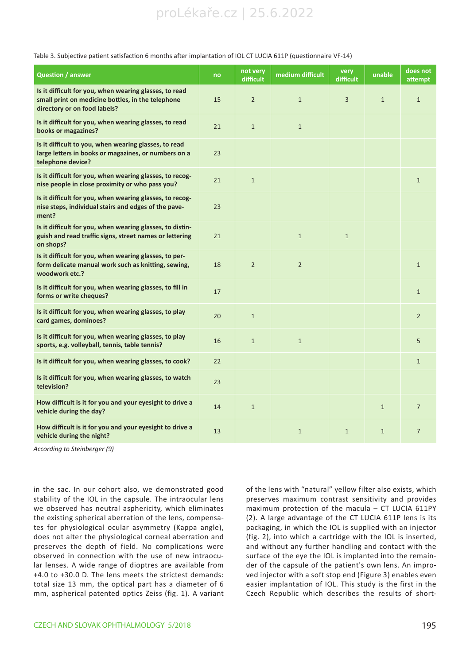# proLékaře.cz | 25.6.2022

| <b>Question / answer</b>                                                                                                                    | no | not very<br>difficult | medium difficult | very<br>difficult | unable       | does not<br>attempt |
|---------------------------------------------------------------------------------------------------------------------------------------------|----|-----------------------|------------------|-------------------|--------------|---------------------|
| Is it difficult for you, when wearing glasses, to read<br>small print on medicine bottles, in the telephone<br>directory or on food labels? | 15 | $\overline{2}$        | $\mathbf{1}$     | 3                 | $\mathbf{1}$ | $\mathbf{1}$        |
| Is it difficult for you, when wearing glasses, to read<br>books or magazines?                                                               | 21 | $\mathbf{1}$          | $\mathbf{1}$     |                   |              |                     |
| Is it difficult to you, when wearing glasses, to read<br>large letters in books or magazines, or numbers on a<br>telephone device?          | 23 |                       |                  |                   |              |                     |
| Is it difficult for you, when wearing glasses, to recog-<br>nise people in close proximity or who pass you?                                 | 21 | $\mathbf{1}$          |                  |                   |              | $\mathbf{1}$        |
| Is it difficult for you, when wearing glasses, to recog-<br>nise steps, individual stairs and edges of the pave-<br>ment?                   | 23 |                       |                  |                   |              |                     |
| Is it difficult for you, when wearing glasses, to distin-<br>guish and read traffic signs, street names or lettering<br>on shops?           | 21 |                       | $\mathbf{1}$     | $\mathbf{1}$      |              |                     |
| Is it difficult for you, when wearing glasses, to per-<br>form delicate manual work such as knitting, sewing,<br>woodwork etc.?             | 18 | $\overline{2}$        | $\overline{2}$   |                   |              | $\mathbf{1}$        |
| Is it difficult for you, when wearing glasses, to fill in<br>forms or write cheques?                                                        | 17 |                       |                  |                   |              | $\mathbf{1}$        |
| Is it difficult for you, when wearing glasses, to play<br>card games, dominoes?                                                             | 20 | $\mathbf{1}$          |                  |                   |              | $\overline{2}$      |
| Is it difficult for you, when wearing glasses, to play<br>sports, e.g. volleyball, tennis, table tennis?                                    | 16 | $\mathbf{1}$          | $\mathbf{1}$     |                   |              | 5                   |
| Is it difficult for you, when wearing glasses, to cook?                                                                                     | 22 |                       |                  |                   |              | $\mathbf{1}$        |
| Is it difficult for you, when wearing glasses, to watch<br>television?                                                                      | 23 |                       |                  |                   |              |                     |
| How difficult is it for you and your eyesight to drive a<br>vehicle during the day?                                                         | 14 | $\mathbf{1}$          |                  |                   | $\mathbf{1}$ | $\overline{7}$      |
| How difficult is it for you and your eyesight to drive a<br>vehicle during the night?                                                       | 13 |                       | $\mathbf{1}$     | $\mathbf{1}$      | $\mathbf{1}$ | $\overline{7}$      |

Table 3. Subjective patient satisfaction 6 months after implantation of IOL CT LUCIA 611P (questionnaire VF-14)

*According to Steinberger (9)*

in the sac. In our cohort also, we demonstrated good stability of the IOL in the capsule. The intraocular lens we observed has neutral asphericity, which eliminates the existing spherical aberration of the lens, compensates for physiological ocular asymmetry (Kappa angle), does not alter the physiological corneal aberration and preserves the depth of field. No complications were observed in connection with the use of new intraocular lenses. A wide range of dioptres are available from +4.0 to +30.0 D. The lens meets the strictest demands: total size 13 mm, the optical part has a diameter of 6 mm, aspherical patented optics Zeiss (fig. 1). A variant of the lens with "natural" yellow filter also exists, which preserves maximum contrast sensitivity and provides maximum protection of the macula – CT LUCIA 611PY (2). A large advantage of the CT LUCIA 611P lens is its packaging, in which the IOL is supplied with an injector (fig. 2), into which a cartridge with the IOL is inserted, and without any further handling and contact with the surface of the eye the IOL is implanted into the remainder of the capsule of the patient's own lens. An improved injector with a soft stop end (Figure 3) enables even easier implantation of IOL. This study is the first in the Czech Republic which describes the results of short-